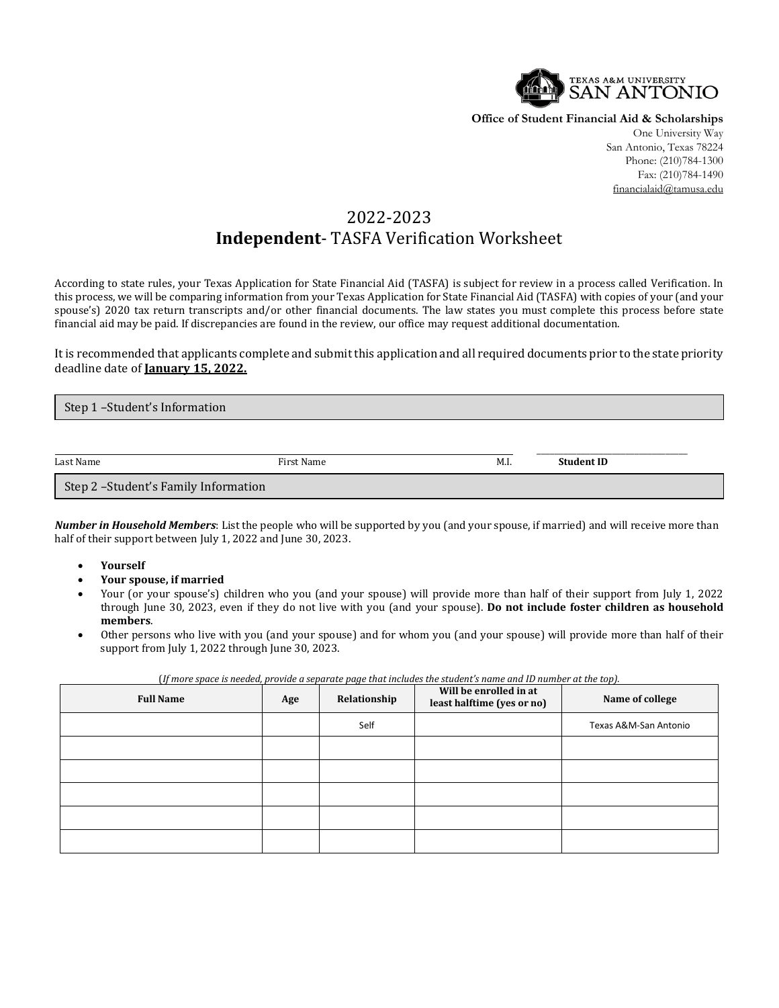

**Office of Student Financial Aid & Scholarships**

One University Way San Antonio, Texas 78224 Phone: (210)784-1300 Fax: (210)784-1490 financialaid@tamusa.edu

## 2022-2023 **Independent**- TASFA Verification Worksheet

According to state rules, your Texas Application for State Financial Aid (TASFA) is subject for review in a process called Verification. In this process, we will be comparing information from your Texas Application for State Financial Aid (TASFA) with copies of your (and your spouse's) 2020 tax return transcripts and/or other financial documents. The law states you must complete this process before state financial aid may be paid. If discrepancies are found in the review, our office may request additional documentation.

It is recommended that applicants complete and submit this application and all required documents prior to the state priority deadline date of **January 15, 2022.**

| Step 1-Student's Information         |            |      |                   |  |
|--------------------------------------|------------|------|-------------------|--|
|                                      |            |      |                   |  |
| Last Name                            | First Name | M.I. | <b>Student ID</b> |  |
| Step 2 -Student's Family Information |            |      |                   |  |

*Number in Household Members*: List the people who will be supported by you (and your spouse, if married) and will receive more than half of their support between July 1, 2022 and June 30, 2023.

- **Yourself**
- **Your spouse, if married**
- Your (or your spouse's) children who you (and your spouse) will provide more than half of their support from July 1, 2022 through June 30, 2023, even if they do not live with you (and your spouse). **Do not include foster children as household members**.
- Other persons who live with you (and your spouse) and for whom you (and your spouse) will provide more than half of their support from July 1, 2022 through June 30, 2023.

| <b>Full Name</b> | Age | Relationship | Will be enrolled in at<br>least halftime (yes or no) | Name of college       |
|------------------|-----|--------------|------------------------------------------------------|-----------------------|
|                  |     | Self         |                                                      | Texas A&M-San Antonio |
|                  |     |              |                                                      |                       |
|                  |     |              |                                                      |                       |
|                  |     |              |                                                      |                       |
|                  |     |              |                                                      |                       |
|                  |     |              |                                                      |                       |

(*If more space is needed, provide a separate page that includes the student's name and ID number at the top).*